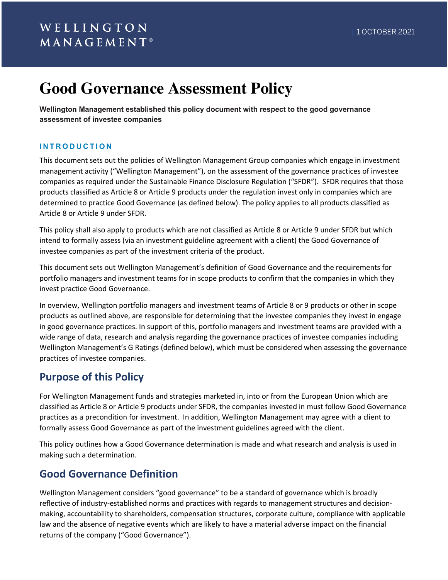# **Good Governance Assessment Policy**

**Wellington Management established this policy document with respect to the good governance assessment of investee companies**

### **INTRODUCTION**

This document sets out the policies of Wellington Management Group companies which engage in investment management activity ("Wellington Management"), on the assessment of the governance practices of investee companies as required under the Sustainable Finance Disclosure Regulation ("SFDR"). SFDR requires that those products classified as Article 8 or Article 9 products under the regulation invest only in companies which are determined to practice Good Governance (as defined below). The policy applies to all products classified as Article 8 or Article 9 under SFDR.

This policy shall also apply to products which are not classified as Article 8 or Article 9 under SFDR but which intend to formally assess (via an investment guideline agreement with a client) the Good Governance of investee companies as part of the investment criteria of the product.

This document sets out Wellington Management's definition of Good Governance and the requirements for portfolio managers and investment teams for in scope products to confirm that the companies in which they invest practice Good Governance.

In overview, Wellington portfolio managers and investment teams of Article 8 or 9 products or other in scope products as outlined above, are responsible for determining that the investee companies they invest in engage in good governance practices. In support of this, portfolio managers and investment teams are provided with a wide range of data, research and analysis regarding the governance practices of investee companies including Wellington Management's G Ratings (defined below), which must be considered when assessing the governance practices of investee companies.

## **Purpose of this Policy**

For Wellington Management funds and strategies marketed in, into or from the European Union which are classified as Article 8 or Article 9 products under SFDR, the companies invested in must follow Good Governance practices as a precondition for investment. In addition, Wellington Management may agree with a client to formally assess Good Governance as part of the investment guidelines agreed with the client.

This policy outlines how a Good Governance determination is made and what research and analysis is used in making such a determination.

## **Good Governance Definition**

Wellington Management considers "good governance" to be a standard of governance which is broadly reflective of industry-established norms and practices with regards to management structures and decisionmaking, accountability to shareholders, compensation structures, corporate culture, compliance with applicable law and the absence of negative events which are likely to have a material adverse impact on the financial returns of the company ("Good Governance").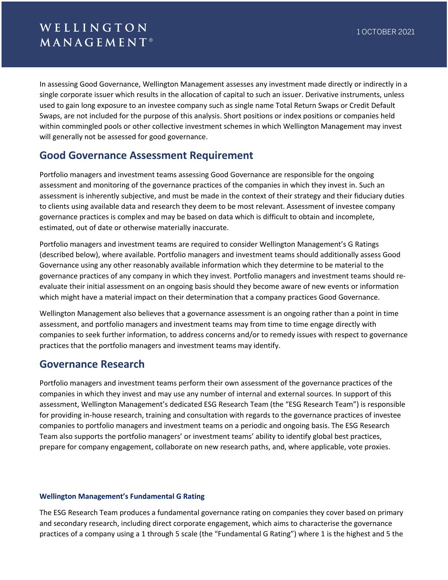In assessing Good Governance, Wellington Management assesses any investment made directly or indirectly in a single corporate issuer which results in the allocation of capital to such an issuer. Derivative instruments, unless used to gain long exposure to an investee company such as single name Total Return Swaps or Credit Default Swaps, are not included for the purpose of this analysis. Short positions or index positions or companies held within commingled pools or other collective investment schemes in which Wellington Management may invest will generally not be assessed for good governance.

## **Good Governance Assessment Requirement**

Portfolio managers and investment teams assessing Good Governance are responsible for the ongoing assessment and monitoring of the governance practices of the companies in which they invest in. Such an assessment is inherently subjective, and must be made in the context of their strategy and their fiduciary duties to clients using available data and research they deem to be most relevant. Assessment of investee company governance practices is complex and may be based on data which is difficult to obtain and incomplete, estimated, out of date or otherwise materially inaccurate.

Portfolio managers and investment teams are required to consider Wellington Management's G Ratings (described below), where available. Portfolio managers and investment teams should additionally assess Good Governance using any other reasonably available information which they determine to be material to the governance practices of any company in which they invest. Portfolio managers and investment teams should reevaluate their initial assessment on an ongoing basis should they become aware of new events or information which might have a material impact on their determination that a company practices Good Governance.

Wellington Management also believes that a governance assessment is an ongoing rather than a point in time assessment, and portfolio managers and investment teams may from time to time engage directly with companies to seek further information, to address concerns and/or to remedy issues with respect to governance practices that the portfolio managers and investment teams may identify.

### **Governance Research**

Portfolio managers and investment teams perform their own assessment of the governance practices of the companies in which they invest and may use any number of internal and external sources. In support of this assessment, Wellington Management's dedicated ESG Research Team (the "ESG Research Team") is responsible for providing in-house research, training and consultation with regards to the governance practices of investee companies to portfolio managers and investment teams on a periodic and ongoing basis. The ESG Research Team also supports the portfolio managers' or investment teams' ability to identify global best practices, prepare for company engagement, collaborate on new research paths, and, where applicable, vote proxies.

### **Wellington Management's Fundamental G Rating**

The ESG Research Team produces a fundamental governance rating on companies they cover based on primary and secondary research, including direct corporate engagement, which aims to characterise the governance practices of a company using a 1 through 5 scale (the "Fundamental G Rating") where 1 is the highest and 5 the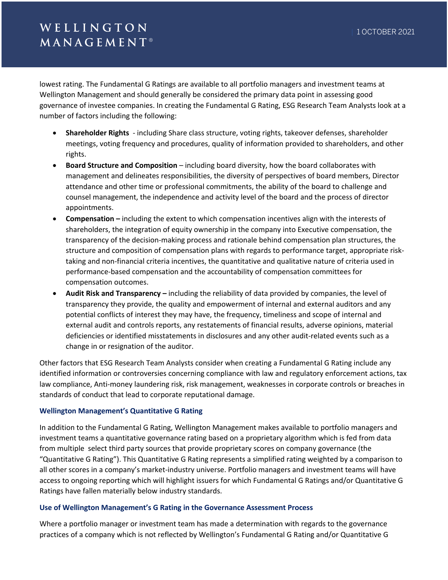## WELLINGTON  $M$  A N A G E M E N T  $^{\circ}$

lowest rating. The Fundamental G Ratings are available to all portfolio managers and investment teams at Wellington Management and should generally be considered the primary data point in assessing good governance of investee companies. In creating the Fundamental G Rating, ESG Research Team Analysts look at a number of factors including the following:

- **Shareholder Rights** including Share class structure, voting rights, takeover defenses, shareholder meetings, voting frequency and procedures, quality of information provided to shareholders, and other rights.
- **Board Structure and Composition** including board diversity, how the board collaborates with management and delineates responsibilities, the diversity of perspectives of board members, Director attendance and other time or professional commitments, the ability of the board to challenge and counsel management, the independence and activity level of the board and the process of director appointments.
- **Compensation –** including the extent to which compensation incentives align with the interests of shareholders, the integration of equity ownership in the company into Executive compensation, the transparency of the decision-making process and rationale behind compensation plan structures, the structure and composition of compensation plans with regards to performance target, appropriate risktaking and non-financial criteria incentives, the quantitative and qualitative nature of criteria used in performance-based compensation and the accountability of compensation committees for compensation outcomes.
- **Audit Risk and Transparency –** including the reliability of data provided by companies, the level of transparency they provide, the quality and empowerment of internal and external auditors and any potential conflicts of interest they may have, the frequency, timeliness and scope of internal and external audit and controls reports, any restatements of financial results, adverse opinions, material deficiencies or identified misstatements in disclosures and any other audit-related events such as a change in or resignation of the auditor.

Other factors that ESG Research Team Analysts consider when creating a Fundamental G Rating include any identified information or controversies concerning compliance with law and regulatory enforcement actions, tax law compliance, Anti-money laundering risk, risk management, weaknesses in corporate controls or breaches in standards of conduct that lead to corporate reputational damage.

### **Wellington Management's Quantitative G Rating**

In addition to the Fundamental G Rating, Wellington Management makes available to portfolio managers and investment teams a quantitative governance rating based on a proprietary algorithm which is fed from data from multiple select third party sources that provide proprietary scores on company governance (the "Quantitative G Rating"). This Quantitative G Rating represents a simplified rating weighted by a comparison to all other scores in a company's market-industry universe. Portfolio managers and investment teams will have access to ongoing reporting which will highlight issuers for which Fundamental G Ratings and/or Quantitative G Ratings have fallen materially below industry standards.

#### **Use of Wellington Management's G Rating in the Governance Assessment Process**

Where a portfolio manager or investment team has made a determination with regards to the governance practices of a company which is not reflected by Wellington's Fundamental G Rating and/or Quantitative G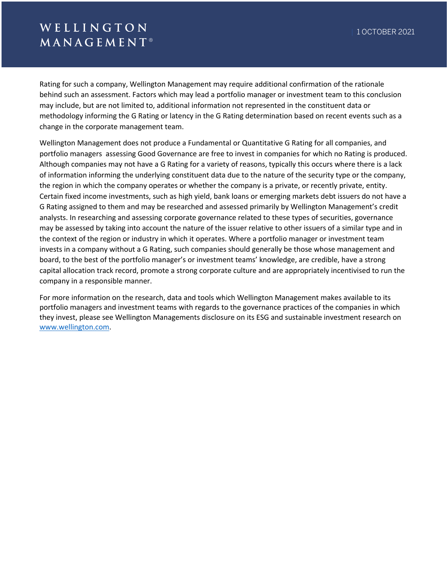## WELLINGTON  $M$  A N A G E M E N T  $^{\circ}$

Rating for such a company, Wellington Management may require additional confirmation of the rationale behind such an assessment. Factors which may lead a portfolio manager or investment team to this conclusion may include, but are not limited to, additional information not represented in the constituent data or methodology informing the G Rating or latency in the G Rating determination based on recent events such as a change in the corporate management team.

Wellington Management does not produce a Fundamental or Quantitative G Rating for all companies, and portfolio managers assessing Good Governance are free to invest in companies for which no Rating is produced. Although companies may not have a G Rating for a variety of reasons, typically this occurs where there is a lack of information informing the underlying constituent data due to the nature of the security type or the company, the region in which the company operates or whether the company is a private, or recently private, entity. Certain fixed income investments, such as high yield, bank loans or emerging markets debt issuers do not have a G Rating assigned to them and may be researched and assessed primarily by Wellington Management's credit analysts. In researching and assessing corporate governance related to these types of securities, governance may be assessed by taking into account the nature of the issuer relative to other issuers of a similar type and in the context of the region or industry in which it operates. Where a portfolio manager or investment team invests in a company without a G Rating, such companies should generally be those whose management and board, to the best of the portfolio manager's or investment teams' knowledge, are credible, have a strong capital allocation track record, promote a strong corporate culture and are appropriately incentivised to run the company in a responsible manner.

For more information on the research, data and tools which Wellington Management makes available to its portfolio managers and investment teams with regards to the governance practices of the companies in which they invest, please see Wellington Managements disclosure on its ESG and sustainable investment research on www.wellington.com.